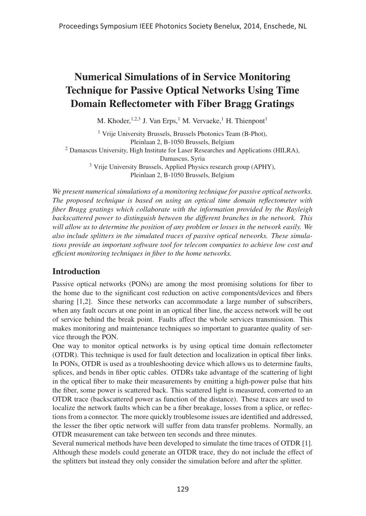# Numerical Simulations of in Service Monitoring Technique for Passive Optical Networks Using Time Domain Reflectometer with Fiber Bragg Gratings

M. Khoder,  $1,2,3$  J. Van Erps,<sup>1</sup> M. Vervaeke,<sup>1</sup> H. Thienpont<sup>1</sup>

<sup>1</sup> Vrije University Brussels, Brussels Photonics Team (B-Phot), Pleinlaan 2, B-1050 Brussels, Belgium <sup>2</sup> Damascus University, High Institute for Laser Researches and Applications (HILRA), Damascus, Syria <sup>3</sup> Vrije University Brussels, Applied Physics research group (APHY), Pleinlaan 2, B-1050 Brussels, Belgium

*We present numerical simulations of a monitoring technique for passive optical networks. The proposed technique is based on using an optical time domain reflectometer with fiber Bragg gratings which collaborate with the information provided by the Rayleigh backscattered power to distinguish between the different branches in the network. This will allow us to determine the position of any problem or losses in the network easily. We also include splitters in the simulated traces of passive optical networks. These simulations provide an important software tool for telecom companies to achieve low cost and efficient monitoring techniques in fiber to the home networks.*

## Introduction

Passive optical networks (PONs) are among the most promising solutions for fiber to the home due to the significant cost reduction on active components/devices and fibers sharing [1,2]. Since these networks can accommodate a large number of subscribers, when any fault occurs at one point in an optical fiber line, the access network will be out of service behind the break point. Faults affect the whole services transmission. This makes monitoring and maintenance techniques so important to guarantee quality of service through the PON.

One way to monitor optical networks is by using optical time domain reflectometer (OTDR). This technique is used for fault detection and localization in optical fiber links. In PONs, OTDR is used as a troubleshooting device which allows us to determine faults, splices, and bends in fiber optic cables. OTDRs take advantage of the scattering of light in the optical fiber to make their measurements by emitting a high-power pulse that hits the fiber, some power is scattered back. This scattered light is measured, converted to an OTDR trace (backscattered power as function of the distance). These traces are used to localize the network faults which can be a fiber breakage, losses from a splice, or reflections from a connector. The more quickly troublesome issues are identified and addressed, the lesser the fiber optic network will suffer from data transfer problems. Normally, an OTDR measurement can take between ten seconds and three minutes.

Several numerical methods have been developed to simulate the time traces of OTDR [1]. Although these models could generate an OTDR trace, they do not include the effect of the splitters but instead they only consider the simulation before and after the splitter.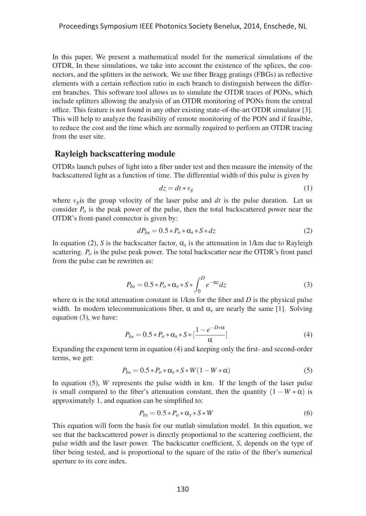In this paper, We present a mathematical model for the numerical simulations of the OTDR, In these simulations, we take into account the existence of the splices, the connectors, and the splitters in the network. We use fiber Bragg gratings (FBGs) as reflective elements with a certain reflection ratio in each branch to distinguish between the different branches. This software tool allows us to simulate the OTDR traces of PONs, which include splitters allowing the analysis of an OTDR monitoring of PONs from the central office. This feature is not found in any other existing state-of-the-art OTDR simulator [3]. This will help to analyze the feasibility of remote monitoring of the PON and if feasible, to reduce the cost and the time which are normally required to perform an OTDR tracing from the user site.

#### Rayleigh backscattering module

OTDRs launch pulses of light into a fiber under test and then measure the intensity of the backscattered light as a function of time. The differential width of this pulse is given by

$$
dz = dt * v_g \tag{1}
$$

where  $v_{\varrho}$  is the group velocity of the laser pulse and *dt* is the pulse duration. Let us consider  $P<sub>o</sub>$  is the peak power of the pulse, then the total backscattered power near the OTDR's front-panel connector is given by:

$$
dP_{bs} = 0.5 \times P_o \times \alpha_s \times S \times dz \tag{2}
$$

In equation (2), *S* is the backscatter factor,  $\alpha_s$  is the attenuation in 1/km due to Rayleigh scattering. *Po* is the pulse peak power. The total backscatter near the OTDR's front panel from the pulse can be rewritten as:

$$
P_{bs} = 0.5 \times P_o \times \alpha_s \times S \times \int_0^D e^{-\alpha z} dz
$$
 (3)

where  $\alpha$  is the total attenuation constant in 1/km for the fiber and *D* is the physical pulse width. In modern telecommunications fiber,  $\alpha$  and  $\alpha_s$  are nearly the same [1]. Solving equation (3), we have:

$$
P_{bs} = 0.5 \times P_o \times \alpha_s \times S \times \left[\frac{1 - e^{-D \times \alpha}}{\alpha}\right]
$$
 (4)

Expanding the exponent term in equation (4) and keeping only the first- and second-order terms, we get:

$$
P_{bs} = 0.5 \times P_o \times \alpha_s \times S \times W (1 - W \times \alpha)
$$
 (5)

In equation (5), *W* represents the pulse width in km. If the length of the laser pulse is small compared to the fiber's attenuation constant, then the quantity  $(1 - W * \alpha)$  is approximately 1, and equation can be simplified to:

$$
P_{bs} = 0.5 \times P_o \times \alpha_s \times S \times W \tag{6}
$$

This equation will form the basis for our matlab simulation model. In this equation, we see that the backscattered power is directly proportional to the scattering coefficient, the pulse width and the laser power. The backscatter coefficient, *S*, depends on the type of fiber being tested, and is proportional to the square of the ratio of the fiber's numerical aperture to its core index.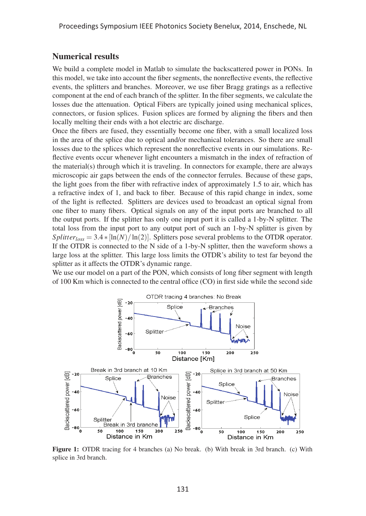#### Numerical results

We build a complete model in Matlab to simulate the backscattered power in PONs. In this model, we take into account the fiber segments, the nonreflective events, the reflective events, the splitters and branches. Moreover, we use fiber Bragg gratings as a reflective component at the end of each branch of the splitter. In the fiber segments, we calculate the losses due the attenuation. Optical Fibers are typically joined using mechanical splices, connectors, or fusion splices. Fusion splices are formed by aligning the fibers and then locally melting their ends with a hot electric arc discharge.

Once the fibers are fused, they essentially become one fiber, with a small localized loss in the area of the splice due to optical and/or mechanical tolerances. So there are small losses due to the splices which represent the nonreflective events in our simulations. Reflective events occur whenever light encounters a mismatch in the index of refraction of the material(s) through which it is traveling. In connectors for example, there are always microscopic air gaps between the ends of the connector ferrules. Because of these gaps, the light goes from the fiber with refractive index of approximately 1.5 to air, which has a refractive index of 1, and back to fiber. Because of this rapid change in index, some of the light is reflected. Splitters are devices used to broadcast an optical signal from one fiber to many fibers. Optical signals on any of the input ports are branched to all the output ports. If the splitter has only one input port it is called a 1-by-N splitter. The total loss from the input port to any output port of such an 1-by-N splitter is given by *Splitter<sub>loss</sub>* = 3.4  $\star$  [ln(*N*)/ln(2)]. Splitters pose several problems to the OTDR operator. If the OTDR is connected to the N side of a 1-by-N splitter, then the waveform shows a large loss at the splitter. This large loss limits the OTDR's ability to test far beyond the splitter as it affects the OTDR's dynamic range.

We use our model on a part of the PON, which consists of long fiber segment with length of 100 Km which is connected to the central office (CO) in first side while the second side



Figure 1: OTDR tracing for 4 branches (a) No break. (b) With break in 3rd branch. (c) With splice in 3rd branch.